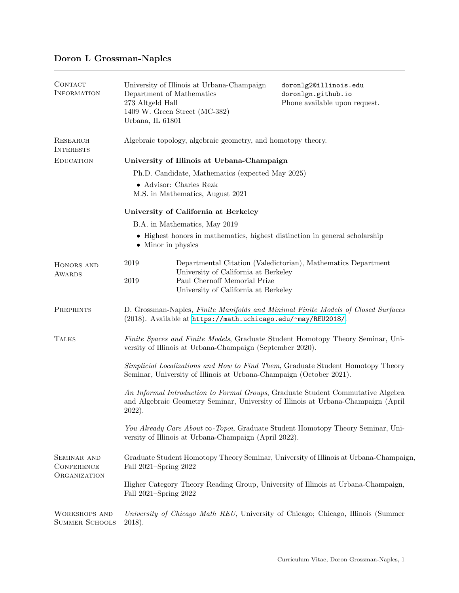## Doron L Grossman-Naples

| CONTACT<br><b>INFORMATION</b>                    | University of Illinois at Urbana-Champaign<br>Department of Mathematics<br>273 Altgeld Hall<br>1409 W. Green Street (MC-382)<br>Urbana, IL 61801                                  | doronlg2@illinois.edu<br>doronlgn.github.io<br>Phone available upon request. |  |
|--------------------------------------------------|-----------------------------------------------------------------------------------------------------------------------------------------------------------------------------------|------------------------------------------------------------------------------|--|
| <b>RESEARCH</b><br><b>INTERESTS</b>              | Algebraic topology, algebraic geometry, and homotopy theory.                                                                                                                      |                                                                              |  |
| <b>EDUCATION</b>                                 | University of Illinois at Urbana-Champaign                                                                                                                                        |                                                                              |  |
|                                                  | Ph.D. Candidate, Mathematics (expected May 2025)                                                                                                                                  |                                                                              |  |
|                                                  | $\bullet$ Advisor: Charles Rezk<br>M.S. in Mathematics, August 2021                                                                                                               |                                                                              |  |
|                                                  | University of California at Berkeley                                                                                                                                              |                                                                              |  |
|                                                  | B.A. in Mathematics, May 2019                                                                                                                                                     |                                                                              |  |
|                                                  | • Highest honors in mathematics, highest distinction in general scholarship<br>• Minor in physics                                                                                 |                                                                              |  |
| HONORS AND<br><b>AWARDS</b>                      | 2019<br>University of California at Berkeley<br>Paul Chernoff Memorial Prize<br>2019<br>University of California at Berkeley                                                      | Departmental Citation (Valedictorian), Mathematics Department                |  |
| PREPRINTS                                        | D. Grossman-Naples, Finite Manifolds and Minimal Finite Models of Closed Surfaces<br>(2018). Available at https://math.uchicago.edu/~may/REU2018/.                                |                                                                              |  |
| <b>TALKS</b>                                     | Finite Spaces and Finite Models, Graduate Student Homotopy Theory Seminar, Uni-<br>versity of Illinois at Urbana-Champaign (September 2020).                                      |                                                                              |  |
|                                                  | Simplicial Localizations and How to Find Them, Graduate Student Homotopy Theory<br>Seminar, University of Illinois at Urbana-Champaign (October 2021).                            |                                                                              |  |
|                                                  | An Informal Introduction to Formal Groups, Graduate Student Commutative Algebra<br>and Algebraic Geometry Seminar, University of Illinois at Urbana-Champaign (April<br>$2022$ ). |                                                                              |  |
|                                                  | You Already Care About $\infty$ -Topoi, Graduate Student Homotopy Theory Seminar, Uni-<br>versity of Illinois at Urbana-Champaign (April 2022).                                   |                                                                              |  |
| SEMINAR AND<br><b>CONFERENCE</b><br>ORGANIZATION | Graduate Student Homotopy Theory Seminar, University of Illinois at Urbana-Champaign,<br>Fall 2021-Spring 2022                                                                    |                                                                              |  |
|                                                  | Higher Category Theory Reading Group, University of Illinois at Urbana-Champaign,<br>Fall 2021-Spring 2022                                                                        |                                                                              |  |
| <b>WORKSHOPS AND</b><br><b>SUMMER SCHOOLS</b>    | University of Chicago Math REU, University of Chicago; Chicago, Illinois (Summer<br>$2018$ ).                                                                                     |                                                                              |  |